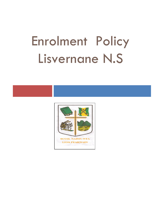# Enrolment Policy Lisvernane N.S

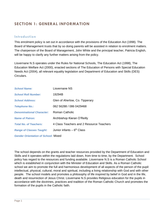## **SECTION 1: GENERAL INFORMATION**

#### **Introduction**

This enrolment policy is set out in accordance with the provisions of the Education Act (1998). The Board of Management trusts that by so doing parents will be assisted in relation to enrolment matters. The chairperson of the Board of Management, John White and the principal teacher, Patricia English, will be happy to clarify any further matters arising from the policy.

Lisvernane N.S operates under the Rules for National Schools, The Education Act (1998), The Education Welfare Act (2000), enacted sections of The Education of Persons with Special Education Needs Act (2004), all relevant equality legislation and Department of Education and Skills (DES) Circulars.

| <b>School Name:</b>              | Lisvernane NS                            |
|----------------------------------|------------------------------------------|
| <b>School Roll Number:</b>       | 19294B                                   |
| <b>School Address:</b>           | Glen of Aherlow, Co. Tipperary           |
| <b>Telephone No.:</b>            | 062 56288 / 086 0429468                  |
| <b>Denominational Character:</b> | Roman Catholic                           |
| <b>Name of Patron:</b>           | Archbishop Kieran O'Reilly               |
| <b>Total No. of Teachers:</b>    | 4 Class Teachers and 2 Resource Teachers |
| <b>Range of Classes Taught:</b>  | Junior infants $-6$ <sup>th</sup> Class  |
|                                  |                                          |

*Gender Orientation of School:* Mixed

The school depends on the grants and teacher resources provided by the Department of Education and Skills and it operates within the regulations laid down, from time to time, by the Department. School policy has regard to the resources and funding available. Lisvernane N.S is a Roman Catholic School which is established in conjunction with the Minister of Education and Skills. As a Roman Catholic school we aim to promote the full and harmonious development of all aspects of the person of the pupil: intellectual, physical, cultural, moral and spiritual, including a living relationship with God and with other people. The school models and promotes a philosophy of life inspired by belief in God and in the life, death and resurrection of Jesus Christ. Lisvernane N.S provides Religious education for the pupils in accordance with the doctrines, practices and tradition of the Roman Catholic Church and promotes the formation of the pupils in the Catholic faith.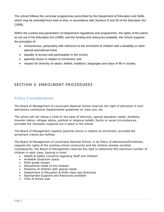The school follows the curricular programmes prescribed by the Department of Education and Skills, which may be amended from time to time, in accordance with Sections 9 and 30 of the Education Act (1998).

Within the context and parameters of Department regulations and programmes, the rights of the patron as set out in the Education Act (1998), and the funding and resources available, the school supports the principles of:

- inclusiveness, particularly with reference to the enrolment of children with a disability or other special educational need;
- equality of access and participation in the school;
- parental choice in relation to enrolment; and
- respect for diversity of values, beliefs, traditions, languages and ways of life in society.

## **SECTION 2: ENROLMENT PROCEDURES**

## **Policy Considerations**

The Board of Management of Lisvernane National School reserves the right of admission if such admissions contravene Departmental guidelines on class size, etc.

The school will not refuse a child on the basis of ethnicity, special education needs, disability, traveller status, refugee status, political or religious beliefs, family or social circumstances, provided the necessary supports are in place in the school.

The Board of Management respects parental choice in relation to enrolment, provided the enrolment criteria are fulfilled.

The Board of Management of Lisvernane National School, in its Policy of Admissions/Enrolment, respects the rights of the existing school community and the children already enrolled. Consequently, the Board of Management reserves the right to determine the maximum number of children in each class, bearing in mind:

- Health & Safety Concerns regarding Staff and Children
- Available classroom space
- Multi-grade classes
- Educational needs of the children
- Presence of children with special needs
- Department of Education & Skills class size directives
- Appropriate Supports and Resources available
- Time of school year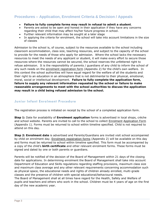## **Procedures – Application, Enrolment Criteria & Decision / Appeals**

- **Failure to fully complete forms may result in refusal to admit a student**.
- Parents are asked to be open and honest in their application if they have any concerns regarding their child that may affect his/her future progress in school.
- Further relevant information may be sought at a later stage
- In applying the criteria for enrolment, the school will take into account limitations in the size of classes

Admission to the school is, of course, subject to the resources available to the school including classroom accommodation, class size, teaching resources, and subject to the capacity of the school to provide for the needs of those who apply for admission. Where the school lacks the necessary resources to meet the needs of any applicant or student, it will make every effort to secure those resources-where the resources cannot be secured, the school reserves the unfettered right to refuse admission. It is the responsibility of parents / guardians of any child to inform the school of any such needs on the enrolment registration form (Appendix 2) for the child's own welfare. In this context the school authorities will have equal regard for the welfare of all the students and their right to an education in an atmosphere that is not detrimental to their physical, emotional, moral, social or intellectual development. **Failure to fully complete the application form, failure to supply any relevant information requested by the school or failure to make reasonable arrangements to meet with the school authorities to discuss the application may result in a child being refused admission to the school.**

#### **Junior Infant Enrolment Procedure**

The registration process is initiated on receipt by the school of a completed application form.

**Step 1:** Date for availability of **Enrolment application** forms is advertised in local shops, crèche and school website. Parents are invited to call to the school to collect Enrolment Application Form (Appendix 1). Forms must be returned to school within timeline specified. Child is not required to attend on this day.

**Step 2: Enrolment date** is advertised and Parents/Guardians are invited visit school accompanied by child on enrolment day. Enrolment registration forms (Appendix 2) will be available on this day and forms must be returned to school within timeline specified. This form must be accompanied by a copy of the child's **birth certificate** and other relevant enrolment forms. These forms must be signed and dated by one or both parents or guardians.

Parents will be notified of the decision of the Board of Management within 21 days of the closing date for applications. In determining enrolment the Board of Management shall take into account Department of Education and Skills regulations regarding staffing provisions, maximum class size and maximum class average and any other relevant requirements concerning accommodation such as physical space, the educational needs and rights of children already enrolled, multi-grade classes and the presence of children with special educational/behavioural needs.

The Board of Management shall at all times have regard for the Health, Safety and Welfare of pupils and teachers and others who work in the school. Children must be 4 years of age on the first day of the new academic year.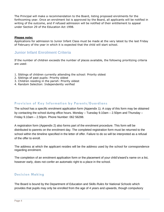The Principal will make a recommendation to the Board, listing proposed enrolments for the forthcoming year. Once an enrolment list is approved by the Board, all applicants will be notified in writing of the outcome, and if refused admission will be notified of their entitlement to appeal under Section 29 of the Education Act 1998.

#### **Please note:**

Applications for admission to Junior Infant Class must be made at the very latest by the last Friday of February of the year in which it is expected that the child will start school.

## **Junior Infant Enrolment Criteria**

If the number of children exceeds the number of places available, the following prioritizing criteria are used:

- 1. Siblings of children currently attending the school: Priority oldest
- 2. Siblings of past pupils: Priority oldest
- 3. Children residing in the parish: Priority oldest
- 4. Random Selection: Independently verified

### **Provision of Key Information by Parents/Guardians**

The school has a specific enrolment application form (Appendix 1). A copy of this form may be obtained by contacting the school during office hours. Monday – Tuesday 9.10am – 2.50pm and Thursday – Friday 9.10am – 2.50pm. Phone Number: 062 56288.

A registration form (Appendix 2) also forms part of the enrolment procedure. This form will be distributed to parents on the enrolment day. The completed registration form must be returned to the school within the timeline specified in the letter of offer. Failure to do so will be interpreted as a refusal of the offer to enroll.

The address at which the applicant resides will be the address used by the school for correspondence regarding enrolment.

The completion of an enrolment application form or the placement of your child's/ward's name on a list, however early, does not confer an automatic right to a place in the school.

#### **Decision Making**

The Board is bound by the Department of Education and Skills *Rules for National Schools* which provides that pupils may only be enrolled from the age of 4 years and upwards, though compulsory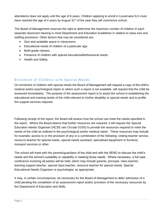attendance does not apply until the age of 6 years. Children applying to enroll in Lisvernane N.S must have reached the age of 4 years by August 31<sup>st</sup> of the year they will commence school.

The Board of Management reserves the right to determine the maximum number of children in each separate classroom bearing in mind Department and Education Guidelines in relation to class size and staffing provisions. Other factors that may be considered are:

- Size and available space in classrooms.
- Educational needs of children of a particular age.
- Multi-grade classes.
- Presence of children with special educational/behavioural needs.
- Health and Safety.

### **Enrolment of Children with Special Needs**

On enrolment of children with special needs the Board of Management will request a copy of the child's medical and/or psychological report or where such a report is not available, will request that the child be assessed immediately. The purpose of the assessment report is to assist the school in establishing the educational and training needs of the child relevant to his/her disability or special needs and to profile the support services required.

Following receipt of the report, the Board will assess how the school can meet the needs specified in the report. Where the Board deems that further resources are required, it will request the Special Education Needs Organiser (NCSE see Circular 01/05) to provide the resources required to meet the needs of the child as outlined in the psychological and/or medical report. These resources may include for example, access to or the provision of any or a combination of the following: visiting teacher service, resource teacher for special needs, special needs assistant, specialised equipment or furniture, transport services or other.

The school will meet with the parents/guardians of the child and with the SENO to discuss the child's needs and the school's suitability or capability in meeting those needs. Where necessary, a full case conference involving all parties will be held, which may include parents, principal, class teacher, learning support teacher, special class teacher, resource teacher for special needs, Special Educational Needs Organiser or psychologist, as appropriate.

It may, in certain circumstances, be necessary for the Board of Management to defer admission of a child pending the completion of an assessment report and/or provision of the necessary resources by the Department of Education and Skills.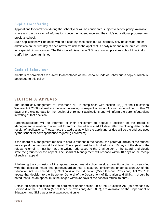## **Pupils Transferring**

Applications for enrolment during the school year will be considered subject to school policy, available space and the provision of information concerning attendance and the child's educational progress from previous school.

Such applications will be dealt with on a case-by-case basis but will normally only be considered for admission on the first day of each new term unless the applicant is newly resident in the area or under very special circumstances. The Principal of Lisvernane N.S may contact previous school Principal to clarify information furnished.

### **Code of Behaviour**

All offers of enrolment are subject to acceptance of the School's Code of Behaviour, a copy of which is appended to this policy.

## **SECTION 3: APPEALS**

The Board of Management of Lisvernane N.S in compliance with section 19(3) of the Educational Welfare Act 2000 will make a decision in writing in respect of an application for enrolment within 21 days of the closing date for the receipt of enrolment applications and will inform the parents/guardians in writing of that decision.

Parents/guardians will be informed of their entitlement to appeal a decision of the Board of Management in relation to a refusal to enrol in the letter issued 21 days after the closing date for the receipt of applications. (Please note the address at which the applicant resides will be the address used by the school for correspondence regarding enrolment).

If the Board of Management refuses to enrol a student in the school, the parent/guardian of the student may appeal the decision at local level. The appeal must be submitted within 10 days of the date of the refusal to enrol. It must be made in writing, addressed to the Chairperson of the Board, and clearly state the grounds for the appeal. The Board of Management will respond within 10 days of the receipt of such an appeal.

If following the conclusion of the appeal procedures at school level, a parent/guardian is dissatisfied with the decision made that parent/guardian has a statutory entitlement under section 29 of the Education Act (as amended by Section 4 of the Education (Miscellaneous Provisions) Act 2007, to appeal that decision to the Secretary General of the Department of Education and Skills. It should be noted that such an appeal must be lodged within 42 days of the schools refusal to enrol.

Details on appealing decisions on enrolment under section 29 of the Education Act (as amended by Section 4 of the Education (Miscellaneous Provisions) Act, 2007), are available on the Department of Education and Skills website at www.education.ie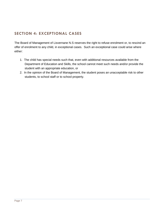# **SECTION 4: EXCEPTIONAL CASES**

The Board of Management of Lisvernane N.S reserves the right to refuse enrolment or, to rescind an offer of enrolment to any child, in exceptional cases. Such an exceptional case could arise where either:

- 1. The child has special needs such that, even with additional resources available from the Department of Education and Skills, the school cannot meet such needs and/or provide the student with an appropriate education, or
- 2. In the opinion of the Board of Management, the student poses an unacceptable risk to other students, to school staff or to school property.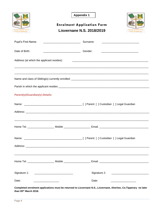|                                                                                                  |                                                                                                                  | <b>Appendix 1</b>                                                                                                     |                                                                                                                       |  |  |
|--------------------------------------------------------------------------------------------------|------------------------------------------------------------------------------------------------------------------|-----------------------------------------------------------------------------------------------------------------------|-----------------------------------------------------------------------------------------------------------------------|--|--|
|                                                                                                  |                                                                                                                  | <b>Enrolment Application Form</b>                                                                                     |                                                                                                                       |  |  |
| Lisvernane N.S. 2018/2019<br><b>OIL NAISIUNT</b><br><b>LIOS FEARNAIN</b><br><b>LIOS FEARNAIN</b> |                                                                                                                  |                                                                                                                       |                                                                                                                       |  |  |
| Pupil's First Name:                                                                              |                                                                                                                  | Surname:                                                                                                              | <u> 1989 - Jan Berlin, margin bir yazar basar basar basar da basar basar basar basar basar basar basar basar basa</u> |  |  |
| Date of Birth:                                                                                   |                                                                                                                  | Gender:                                                                                                               | <u> 1989 - Johann Barn, mars eta inperiodo eta inperiodo eta inperiodo eta inperiodo eta inperiodo eta inperiodo</u>  |  |  |
| Address (at which the applicant resides):                                                        |                                                                                                                  |                                                                                                                       |                                                                                                                       |  |  |
|                                                                                                  |                                                                                                                  |                                                                                                                       |                                                                                                                       |  |  |
|                                                                                                  |                                                                                                                  |                                                                                                                       |                                                                                                                       |  |  |
| <b>Parent(s)/Guardian(s) Details:</b>                                                            |                                                                                                                  |                                                                                                                       |                                                                                                                       |  |  |
|                                                                                                  |                                                                                                                  |                                                                                                                       |                                                                                                                       |  |  |
|                                                                                                  |                                                                                                                  |                                                                                                                       |                                                                                                                       |  |  |
|                                                                                                  |                                                                                                                  |                                                                                                                       |                                                                                                                       |  |  |
|                                                                                                  |                                                                                                                  |                                                                                                                       |                                                                                                                       |  |  |
|                                                                                                  |                                                                                                                  |                                                                                                                       |                                                                                                                       |  |  |
|                                                                                                  |                                                                                                                  |                                                                                                                       |                                                                                                                       |  |  |
| Signature 1:<br><u> 1980 - Jan Barbara, martxa al II-lea (h. 1980).</u>                          |                                                                                                                  |                                                                                                                       |                                                                                                                       |  |  |
| Date:                                                                                            | and the company of the company of the company of the company of the company of the company of the company of the | Date:<br>$\mathbf{a}$ and $\mathbf{a}$ are $\mathbf{a}$ and $\mathbf{a}$ and $\mathbf{a}$ are the set of $\mathbf{a}$ |                                                                                                                       |  |  |

Completed enrolment applications must be returned to Lisvernane N.S., Lisvernane, Aherlow, Co.Tipperary no later than 05th March 2018.